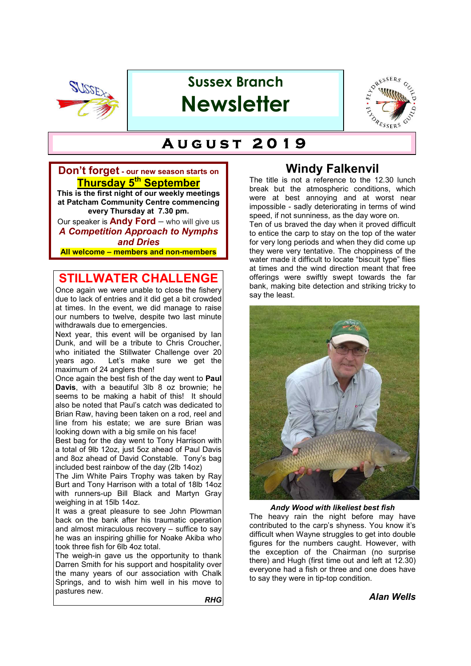

# **Sussex Branch Newsletter**



# $A$ UGUST 2019

#### **Don't forget - our new season starts on Thursday 5th September**

**This is the first night of our weekly meetings at Patcham Community Centre commencing every Thursday at 7.30 pm.** Our speaker is **Andy Ford** – who will give us

*A Competition Approach to Nymphs and Dries*

**All welcome – members and non-members**

#### **STILLWATER CHALLENGE**

Once again we were unable to close the fishery due to lack of entries and it did get a bit crowded at times. In the event, we did manage to raise our numbers to twelve, despite two last minute withdrawals due to emergencies.

Next year, this event will be organised by Ian Dunk, and will be a tribute to Chris Croucher, who initiated the Stillwater Challenge over 20<br>years ago. Let's make sure we get the Let's make sure we get the maximum of 24 anglers then!

Once again the best fish of the day went to **Paul Davis**, with a beautiful 3lb 8 oz brownie; he seems to be making a habit of this! It should also be noted that Paul's catch was dedicated to Brian Raw, having been taken on a rod, reel and line from his estate; we are sure Brian was looking down with a big smile on his face!

Best bag for the day went to Tony Harrison with a total of 9lb 12oz, just 5oz ahead of Paul Davis and 8oz ahead of David Constable. Tony's bag included best rainbow of the day (2lb 14oz)

The Jim White Pairs Trophy was taken by Ray Burt and Tony Harrison with a total of 18lb 14oz with runners-up Bill Black and Martyn Gray weighing in at 15lb 14oz.

It was a great pleasure to see John Plowman back on the bank after his traumatic operation and almost miraculous recovery – suffice to say he was an inspiring ghillie for Noake Akiba who took three fish for 6lb 4oz total.

The weigh-in gave us the opportunity to thank Darren Smith for his support and hospitality over the many years of our association with Chalk Springs, and to wish him well in his move to pastures new.

*RHG*

### **Windy Falkenvil**

The title is not a reference to the 12.30 lunch break but the atmospheric conditions, which were at best annoying and at worst near impossible - sadly deteriorating in terms of wind speed, if not sunniness, as the day wore on.

Ten of us braved the day when it proved difficult to entice the carp to stay on the top of the water for very long periods and when they did come up they were very tentative. The choppiness of the water made it difficult to locate "biscuit type" flies at times and the wind direction meant that free offerings were swiftly swept towards the far bank, making bite detection and striking tricky to say the least.



*Andy Wood with likeliest best fish*

The heavy rain the night before may have contributed to the carp's shyness. You know it's difficult when Wayne struggles to get into double figures for the numbers caught. However, with the exception of the Chairman (no surprise there) and Hugh (first time out and left at 12.30) everyone had a fish or three and one does have to say they were in tip-top condition.

#### *Alan Wells*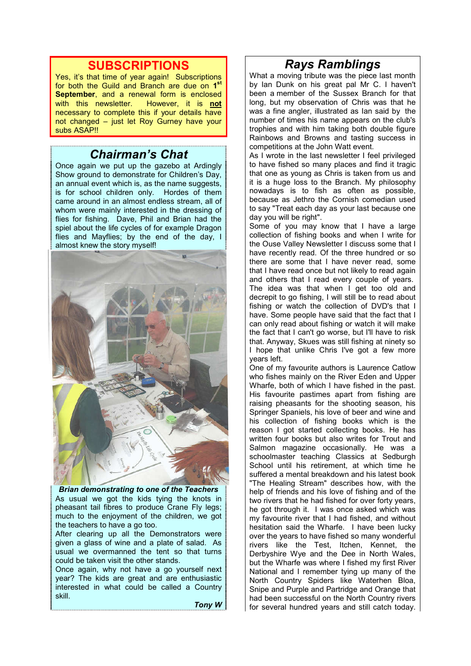#### **SUBSCRIPTIONS**

Yes, it's that time of year again! Subscriptions for both the Guild and Branch are due on 1<sup>st</sup> **September**, and a renewal form is enclosed with this newsletter. However, it is **not** necessary to complete this if your details have not changed – just let Roy Gurney have your subs ASAP!!

#### *Chairman's Chat*

Once again we put up the gazebo at Ardingly Show ground to demonstrate for Children's Day, an annual event which is, as the name suggests, is for school children only. Hordes of them came around in an almost endless stream, all of whom were mainly interested in the dressing of flies for fishing. Dave, Phil and Brian had the spiel about the life cycles of for example Dragon flies and Mayflies; by the end of the day, I almost knew the story myself!



*Brian demonstrating to one of the Teachers* As usual we got the kids tying the knots in pheasant tail fibres to produce Crane Fly legs; much to the enjoyment of the children, we got the teachers to have a go too.

After clearing up all the Demonstrators were given a glass of wine and a plate of salad. As usual we overmanned the tent so that turns could be taken visit the other stands.

Once again, why not have a go yourself next year? The kids are great and are enthusiastic interested in what could be called a Country skill.

*Tony W* 

# *Rays Ramblings*

What a moving tribute was the piece last month by Ian Dunk on his great pal Mr C. I haven't been a member of the Sussex Branch for that long, but my observation of Chris was that he was a fine angler, illustrated as Ian said by the number of times his name appears on the club's trophies and with him taking both double figure Rainbows and Browns and tasting success in competitions at the John Watt event.

As I wrote in the last newsletter I feel privileged to have fished so many places and find it tragic that one as young as Chris is taken from us and it is a huge loss to the Branch. My philosophy nowadays is to fish as often as possible, because as Jethro the Cornish comedian used to say "Treat each day as your last because one day you will be right".

Some of you may know that I have a large collection of fishing books and when I write for the Ouse Valley Newsletter I discuss some that I have recently read. Of the three hundred or so there are some that I have never read, some that I have read once but not likely to read again and others that I read every couple of years. The idea was that when I get too old and decrepit to go fishing, I will still be to read about fishing or watch the collection of DVD's that I have. Some people have said that the fact that I can only read about fishing or watch it will make the fact that I can't go worse, but I'll have to risk that. Anyway, Skues was still fishing at ninety so I hope that unlike Chris I've got a few more years left.

One of my favourite authors is Laurence Catlow who fishes mainly on the River Eden and Upper Wharfe, both of which I have fished in the past. His favourite pastimes apart from fishing are raising pheasants for the shooting season, his Springer Spaniels, his love of beer and wine and his collection of fishing books which is the reason I got started collecting books. He has written four books but also writes for Trout and Salmon magazine occasionally. He was a schoolmaster teaching Classics at Sedburgh School until his retirement, at which time he suffered a mental breakdown and his latest book "The Healing Stream" describes how, with the help of friends and his love of fishing and of the two rivers that he had fished for over forty years, he got through it. I was once asked which was my favourite river that I had fished, and without hesitation said the Wharfe. I have been lucky over the years to have fished so many wonderful rivers like the Test, Itchen, Kennet, the Derbyshire Wye and the Dee in North Wales, but the Wharfe was where I fished my first River National and I remember tying up many of the North Country Spiders like Waterhen Bloa, Snipe and Purple and Partridge and Orange that had been successful on the North Country rivers for several hundred years and still catch today.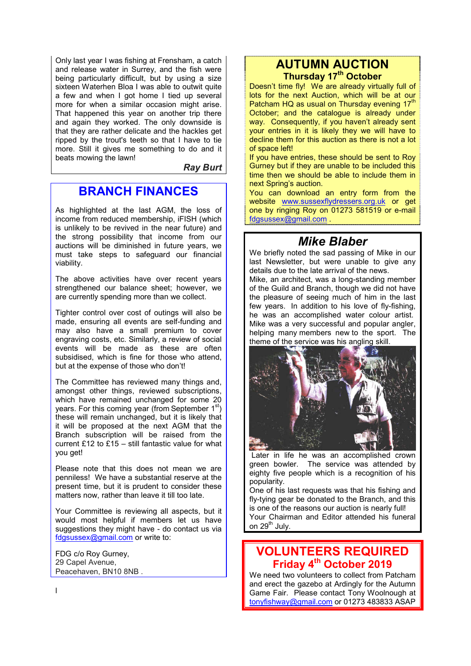Only last year I was fishing at Frensham, a catch and release water in Surrey, and the fish were being particularly difficult, but by using a size sixteen Waterhen Bloa I was able to outwit quite a few and when I got home I tied up several more for when a similar occasion might arise. That happened this year on another trip there and again they worked. The only downside is that they are rather delicate and the hackles get ripped by the trout's teeth so that I have to tie more. Still it gives me something to do and it beats mowing the lawn!

*Ray Burt*

### **BRANCH FINANCES**

As highlighted at the last AGM, the loss of income from reduced membership, iFISH (which is unlikely to be revived in the near future) and the strong possibility that income from our auctions will be diminished in future years, we must take steps to safeguard our financial viability.

The above activities have over recent years strengthened our balance sheet; however, we are currently spending more than we collect.

Tighter control over cost of outings will also be made, ensuring all events are self-funding and may also have a small premium to cover engraving costs, etc. Similarly, a review of social events will be made as these are often subsidised, which is fine for those who attend, but at the expense of those who don't!

The Committee has reviewed many things and, amongst other things, reviewed subscriptions, which have remained unchanged for some 20 vears. For this coming year (from September  $1<sup>st</sup>$ ) these will remain unchanged, but it is likely that it will be proposed at the next AGM that the Branch subscription will be raised from the current £12 to £15 – still fantastic value for what you get!

Please note that this does not mean we are penniless! We have a substantial reserve at the present time, but it is prudent to consider these matters now, rather than leave it till too late.

Your Committee is reviewing all aspects, but it would most helpful if members let us have suggestions they might have - do contact us via fdgsussex@gmail.com or write to:

FDG c/o Roy Gurney, 29 Capel Avenue, Peacehaven, BN10 8NB .

#### **AUTUMN AUCTION Thursday 17th October**

Doesn't time fly! We are already virtually full of lots for the next Auction, which will be at our Patcham HQ as usual on Thursday evening 17<sup>th</sup> October; and the catalogue is already under way. Consequently, if you haven't already sent your entries in it is likely they we will have to decline them for this auction as there is not a lot of space left!

If you have entries, these should be sent to Roy Gurney but if they are unable to be included this time then we should be able to include them in next Spring's auction.

You can download an entry form from the website www.sussexflydressers.org.uk or get one by ringing Roy on 01273 581519 or e-mail fdgsussex@gmail.com .

#### *Mike Blaber*

We briefly noted the sad passing of Mike in our last Newsletter, but were unable to give any details due to the late arrival of the news.

Mike, an architect, was a long-standing member of the Guild and Branch, though we did not have the pleasure of seeing much of him in the last few years. In addition to his love of fly-fishing, he was an accomplished water colour artist. Mike was a very successful and popular angler, helping many members new to the sport. The theme of the service was his angling skill.



 Later in life he was an accomplished crown green bowler. The service was attended by eighty five people which is a recognition of his popularity.

One of his last requests was that his fishing and fly-tying gear be donated to the Branch, and this is one of the reasons our auction is nearly full! Your Chairman and Editor attended his funeral on 29<sup>th</sup> July.

### **VOLUNTEERS REQUIRED Friday 4th October 2019**

We need two volunteers to collect from Patcham and erect the gazebo at Ardingly for the Autumn Game Fair. Please contact Tony Woolnough at tonyfishway@gmail.com or 01273 483833 ASAP